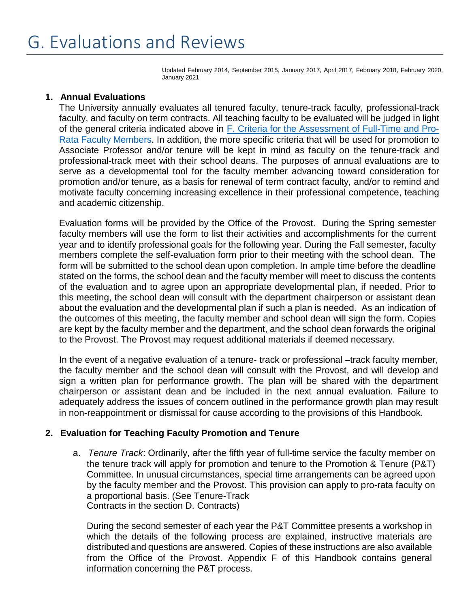# G. Evaluations and Reviews

Updated February 2014, September 2015, January 2017, April 2017, February 2018, February 2020, January 2021

#### **1. Annual Evaluations**

The University annually evaluates all tenured faculty, tenure-track faculty, professional-track faculty, and faculty on term contracts. All teaching faculty to be evaluated will be judged in light of the general criteria indicated above in F. Criteria for [the Assessment of](https://mymount.msj.edu/ICS/icsfs/F-Criteria_for_Assessment_of_Full-Time_and_Pro-Rat.pdf?target=ae17d15e-0b57-4b12-96c5-cd758c398fcf) Full-Time and Pro-Rata Faculty [Members.](https://mymount.msj.edu/ICS/icsfs/F-Criteria_for_Assessment_of_Full-Time_and_Pro-Rat.pdf?target=ae17d15e-0b57-4b12-96c5-cd758c398fcf) In addition, the more specific criteria that will be used for promotion to Associate Professor and/or tenure will be kept in mind as faculty on the tenure-track and professional-track meet with their school deans. The purposes of annual evaluations are to serve as a developmental tool for the faculty member advancing toward consideration for promotion and/or tenure, as a basis for renewal of term contract faculty, and/or to remind and motivate faculty concerning increasing excellence in their professional competence, teaching and academic citizenship.

Evaluation forms will be provided by the Office of the Provost. During the Spring semester faculty members will use the form to list their activities and accomplishments for the current year and to identify professional goals for the following year. During the Fall semester, faculty members complete the self-evaluation form prior to their meeting with the school dean. The form will be submitted to the school dean upon completion. In ample time before the deadline stated on the forms, the school dean and the faculty member will meet to discuss the contents of the evaluation and to agree upon an appropriate developmental plan, if needed. Prior to this meeting, the school dean will consult with the department chairperson or assistant dean about the evaluation and the developmental plan if such a plan is needed. As an indication of the outcomes of this meeting, the faculty member and school dean will sign the form. Copies are kept by the faculty member and the department, and the school dean forwards the original to the Provost. The Provost may request additional materials if deemed necessary.

In the event of a negative evaluation of a tenure- track or professional –track faculty member, the faculty member and the school dean will consult with the Provost, and will develop and sign a written plan for performance growth. The plan will be shared with the department chairperson or assistant dean and be included in the next annual evaluation. Failure to adequately address the issues of concern outlined in the performance growth plan may result in non-reappointment or dismissal for cause according to the provisions of this Handbook.

# **2. Evaluation for Teaching Faculty Promotion and Tenure**

a. *Tenure Track*: Ordinarily, after the fifth year of full-time service the faculty member on the tenure track will apply for promotion and tenure to the Promotion & Tenure (P&T) Committee. In unusual circumstances, special time arrangements can be agreed upon by the faculty member and the Provost. This provision can apply to pro-rata faculty on a proportional basis. (See Tenure-Track Contracts in the section D. Contracts)

During the second semester of each year the P&T Committee presents a workshop in which the details of the following process are explained, instructive materials are distributed and questions are answered. Copies of these instructions are also available from the Office of the Provost. Appendix F of this Handbook contains general information concerning the P&T process.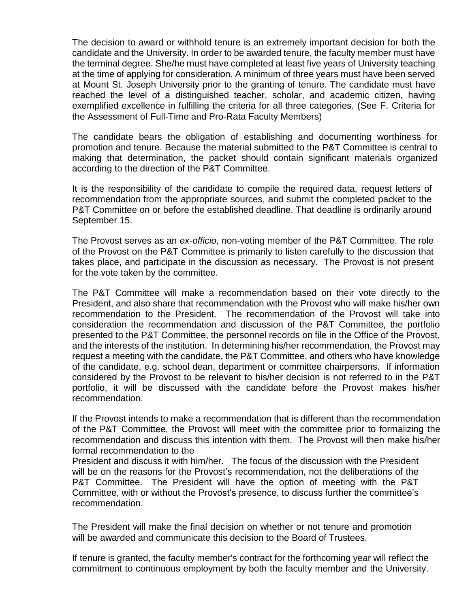The decision to award or withhold tenure is an extremely important decision for both the candidate and the University. In order to be awarded tenure, the faculty member must have the terminal degree. She/he must have completed at least five years of University teaching at the time of applying for consideration. A minimum of three years must have been served at Mount St. Joseph University prior to the granting of tenure. The candidate must have reached the level of a distinguished teacher, scholar, and academic citizen, having exemplified excellence in fulfilling the criteria for all three categories. (See F. Criteria for the Assessment of Full-Time and Pro-Rata Faculty Members)

The candidate bears the obligation of establishing and documenting worthiness for promotion and tenure. Because the material submitted to the P&T Committee is central to making that determination, the packet should contain significant materials organized according to the direction of the P&T Committee.

It is the responsibility of the candidate to compile the required data, request letters of recommendation from the appropriate sources, and submit the completed packet to the P&T Committee on or before the established deadline. That deadline is ordinarily around September 15.

The Provost serves as an *ex-officio*, non-voting member of the P&T Committee. The role of the Provost on the P&T Committee is primarily to listen carefully to the discussion that takes place, and participate in the discussion as necessary. The Provost is not present for the vote taken by the committee.

The P&T Committee will make a recommendation based on their vote directly to the President, and also share that recommendation with the Provost who will make his/her own recommendation to the President. The recommendation of the Provost will take into consideration the recommendation and discussion of the P&T Committee, the portfolio presented to the P&T Committee, the personnel records on file in the Office of the Provost, and the interests of the institution. In determining his/her recommendation, the Provost may request a meeting with the candidate, the P&T Committee, and others who have knowledge of the candidate, e.g. school dean, department or committee chairpersons. If information considered by the Provost to be relevant to his/her decision is not referred to in the P&T portfolio, it will be discussed with the candidate before the Provost makes his/her recommendation.

If the Provost intends to make a recommendation that is different than the recommendation of the P&T Committee, the Provost will meet with the committee prior to formalizing the recommendation and discuss this intention with them. The Provost will then make his/her formal recommendation to the

President and discuss it with him/her. The focus of the discussion with the President will be on the reasons for the Provost's recommendation, not the deliberations of the P&T Committee. The President will have the option of meeting with the P&T Committee, with or without the Provost's presence, to discuss further the committee's recommendation.

The President will make the final decision on whether or not tenure and promotion will be awarded and communicate this decision to the Board of Trustees.

If tenure is granted, the faculty member's contract for the forthcoming year will reflect the commitment to continuous employment by both the faculty member and the University.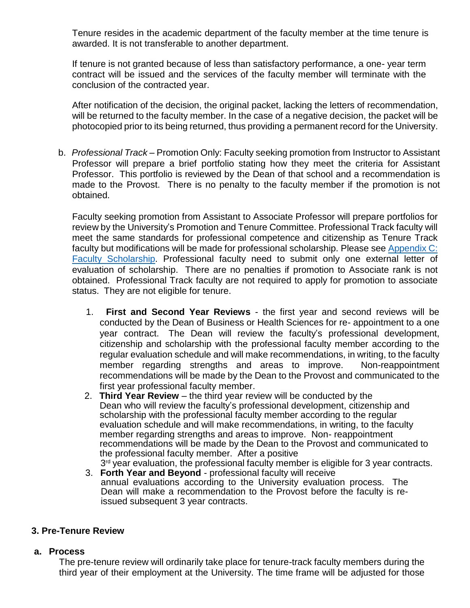Tenure resides in the academic department of the faculty member at the time tenure is awarded. It is not transferable to another department.

If tenure is not granted because of less than satisfactory performance, a one- year term contract will be issued and the services of the faculty member will terminate with the conclusion of the contracted year.

After notification of the decision, the original packet, lacking the letters of recommendation, will be returned to the faculty member. In the case of a negative decision, the packet will be photocopied prior to its being returned, thus providing a permanent record for the University.

b. *Professional Track* – Promotion Only: Faculty seeking promotion from Instructor to Assistant Professor will prepare a brief portfolio stating how they meet the criteria for Assistant Professor. This portfolio is reviewed by the Dean of that school and a recommendation is made to the Provost. There is no penalty to the faculty member if the promotion is not obtained.

Faculty seeking promotion from Assistant to Associate Professor will prepare portfolios for review by the University's Promotion and Tenure Committee. Professional Track faculty will meet the same standards for professional competence and citizenship as Tenure Track faculty but modifications will be made for professional scholarship. Please see [Appendix](https://mymount.msj.edu/ICS/icsfs/C-Faculty_Scholarship.pdf?target=bd8706d5-5c8c-4bd4-af3b-4a3a2d1582ab) C: Faculty [Scholarship.](https://mymount.msj.edu/ICS/icsfs/C-Faculty_Scholarship.pdf?target=bd8706d5-5c8c-4bd4-af3b-4a3a2d1582ab) Professional faculty need to submit only one external letter of evaluation of scholarship. There are no penalties if promotion to Associate rank is not obtained. Professional Track faculty are not required to apply for promotion to associate status. They are not eligible for tenure.

- 1. **First and Second Year Reviews** the first year and second reviews will be conducted by the Dean of Business or Health Sciences for re- appointment to a one year contract. The Dean will review the faculty's professional development, citizenship and scholarship with the professional faculty member according to the regular evaluation schedule and will make recommendations, in writing, to the faculty member regarding strengths and areas to improve. Non-reappointment recommendations will be made by the Dean to the Provost and communicated to the first year professional faculty member.
- 2. **Third Year Review** the third year review will be conducted by the Dean who will review the faculty's professional development, citizenship and scholarship with the professional faculty member according to the regular evaluation schedule and will make recommendations, in writing, to the faculty member regarding strengths and areas to improve. Non- reappointment recommendations will be made by the Dean to the Provost and communicated to the professional faculty member. After a positive 3<sup>rd</sup> year evaluation, the professional faculty member is eligible for 3 year contracts.
- 3. **Forth Year and Beyond** professional faculty will receive annual evaluations according to the University evaluation process. The Dean will make a recommendation to the Provost before the faculty is reissued subsequent 3 year contracts.

# **3. Pre-Tenure Review**

# **a. Process**

The pre-tenure review will ordinarily take place for tenure-track faculty members during the third year of their employment at the University. The time frame will be adjusted for those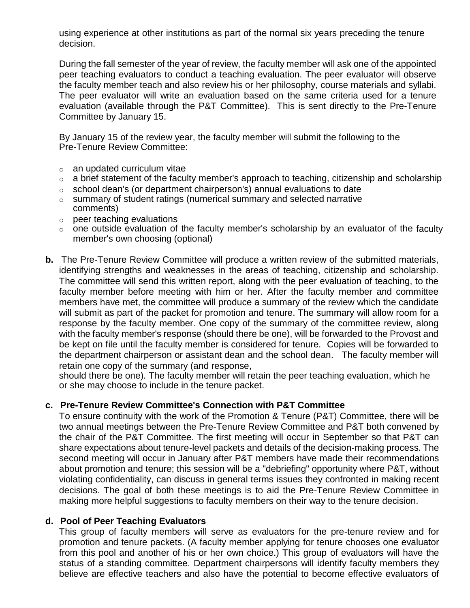using experience at other institutions as part of the normal six years preceding the tenure decision.

During the fall semester of the year of review, the faculty member will ask one of the appointed peer teaching evaluators to conduct a teaching evaluation. The peer evaluator will observe the faculty member teach and also review his or her philosophy, course materials and syllabi. The peer evaluator will write an evaluation based on the same criteria used for a tenure evaluation (available through the P&T Committee). This is sent directly to the Pre-Tenure Committee by January 15.

By January 15 of the review year, the faculty member will submit the following to the Pre-Tenure Review Committee:

- $\circ$  an updated curriculum vitae
- $\circ$  a brief statement of the faculty member's approach to teaching, citizenship and scholarship
- $\circ$  school dean's (or department chairperson's) annual evaluations to date
- $\circ$  summary of student ratings (numerical summary and selected narrative comments)
- o peer teaching evaluations
- $\circ$  one outside evaluation of the faculty member's scholarship by an evaluator of the faculty member's own choosing (optional)
- **b.** The Pre-Tenure Review Committee will produce a written review of the submitted materials, identifying strengths and weaknesses in the areas of teaching, citizenship and scholarship. The committee will send this written report, along with the peer evaluation of teaching, to the faculty member before meeting with him or her. After the faculty member and committee members have met, the committee will produce a summary of the review which the candidate will submit as part of the packet for promotion and tenure. The summary will allow room for a response by the faculty member. One copy of the summary of the committee review, along with the faculty member's response (should there be one), will be forwarded to the Provost and be kept on file until the faculty member is considered for tenure. Copies will be forwarded to the department chairperson or assistant dean and the school dean. The faculty member will retain one copy of the summary (and response,

should there be one). The faculty member will retain the peer teaching evaluation, which he or she may choose to include in the tenure packet.

# **c. Pre-Tenure Review Committee's Connection with P&T Committee**

To ensure continuity with the work of the Promotion & Tenure (P&T) Committee, there will be two annual meetings between the Pre-Tenure Review Committee and P&T both convened by the chair of the P&T Committee. The first meeting will occur in September so that P&T can share expectations about tenure-level packets and details of the decision-making process. The second meeting will occur in January after P&T members have made their recommendations about promotion and tenure; this session will be a "debriefing" opportunity where P&T, without violating confidentiality, can discuss in general terms issues they confronted in making recent decisions. The goal of both these meetings is to aid the Pre-Tenure Review Committee in making more helpful suggestions to faculty members on their way to the tenure decision.

# **d. Pool of Peer Teaching Evaluators**

This group of faculty members will serve as evaluators for the pre-tenure review and for promotion and tenure packets. (A faculty member applying for tenure chooses one evaluator from this pool and another of his or her own choice.) This group of evaluators will have the status of a standing committee. Department chairpersons will identify faculty members they believe are effective teachers and also have the potential to become effective evaluators of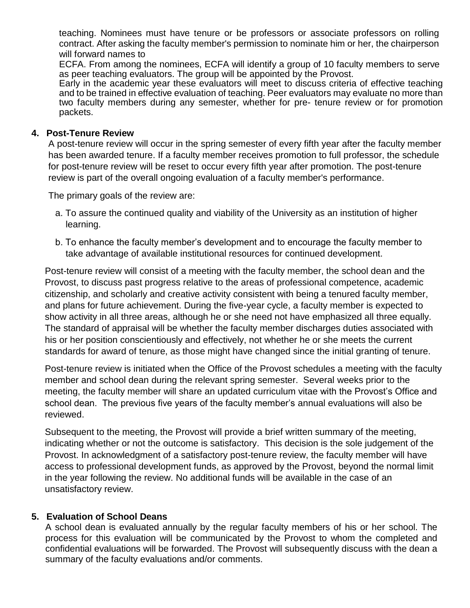teaching. Nominees must have tenure or be professors or associate professors on rolling contract. After asking the faculty member's permission to nominate him or her, the chairperson will forward names to

ECFA. From among the nominees, ECFA will identify a group of 10 faculty members to serve as peer teaching evaluators. The group will be appointed by the Provost.

Early in the academic year these evaluators will meet to discuss criteria of effective teaching and to be trained in effective evaluation of teaching. Peer evaluators may evaluate no more than two faculty members during any semester, whether for pre- tenure review or for promotion packets.

#### **4. Post-Tenure Review**

A post-tenure review will occur in the spring semester of every fifth year after the faculty member has been awarded tenure. If a faculty member receives promotion to full professor, the schedule for post-tenure review will be reset to occur every fifth year after promotion. The post-tenure review is part of the overall ongoing evaluation of a faculty member's performance.

The primary goals of the review are:

- a. To assure the continued quality and viability of the University as an institution of higher learning.
- b. To enhance the faculty member's development and to encourage the faculty member to take advantage of available institutional resources for continued development.

Post-tenure review will consist of a meeting with the faculty member, the school dean and the Provost, to discuss past progress relative to the areas of professional competence, academic citizenship, and scholarly and creative activity consistent with being a tenured faculty member, and plans for future achievement. During the five-year cycle, a faculty member is expected to show activity in all three areas, although he or she need not have emphasized all three equally. The standard of appraisal will be whether the faculty member discharges duties associated with his or her position conscientiously and effectively, not whether he or she meets the current standards for award of tenure, as those might have changed since the initial granting of tenure.

Post-tenure review is initiated when the Office of the Provost schedules a meeting with the faculty member and school dean during the relevant spring semester. Several weeks prior to the meeting, the faculty member will share an updated curriculum vitae with the Provost's Office and school dean. The previous five years of the faculty member's annual evaluations will also be reviewed.

Subsequent to the meeting, the Provost will provide a brief written summary of the meeting, indicating whether or not the outcome is satisfactory. This decision is the sole judgement of the Provost. In acknowledgment of a satisfactory post-tenure review, the faculty member will have access to professional development funds, as approved by the Provost, beyond the normal limit in the year following the review. No additional funds will be available in the case of an unsatisfactory review.

# **5. Evaluation of School Deans**

A school dean is evaluated annually by the regular faculty members of his or her school. The process for this evaluation will be communicated by the Provost to whom the completed and confidential evaluations will be forwarded. The Provost will subsequently discuss with the dean a summary of the faculty evaluations and/or comments.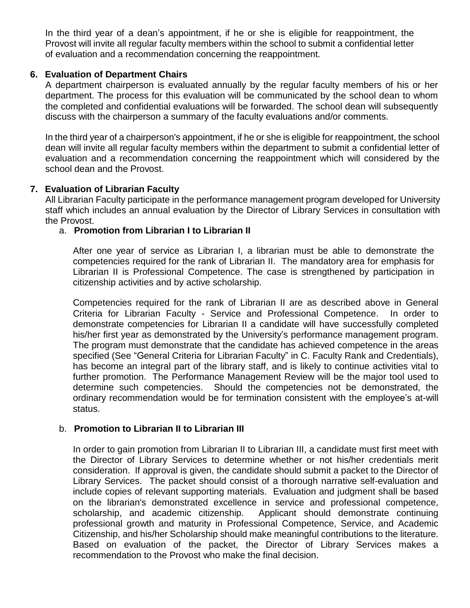In the third year of a dean's appointment, if he or she is eligible for reappointment, the Provost will invite all regular faculty members within the school to submit a confidential letter of evaluation and a recommendation concerning the reappointment.

# **6. Evaluation of Department Chairs**

A department chairperson is evaluated annually by the regular faculty members of his or her department. The process for this evaluation will be communicated by the school dean to whom the completed and confidential evaluations will be forwarded. The school dean will subsequently discuss with the chairperson a summary of the faculty evaluations and/or comments.

In the third year of a chairperson's appointment, if he or she is eligible for reappointment, the school dean will invite all regular faculty members within the department to submit a confidential letter of evaluation and a recommendation concerning the reappointment which will considered by the school dean and the Provost.

# **7. Evaluation of Librarian Faculty**

All Librarian Faculty participate in the performance management program developed for University staff which includes an annual evaluation by the Director of Library Services in consultation with the Provost.

# a. **Promotion from Librarian I to Librarian II**

After one year of service as Librarian I, a librarian must be able to demonstrate the competencies required for the rank of Librarian II. The mandatory area for emphasis for Librarian II is Professional Competence. The case is strengthened by participation in citizenship activities and by active scholarship.

Competencies required for the rank of Librarian II are as described above in General Criteria for Librarian Faculty - Service and Professional Competence. In order to demonstrate competencies for Librarian II a candidate will have successfully completed his/her first year as demonstrated by the University's performance management program. The program must demonstrate that the candidate has achieved competence in the areas specified (See "General Criteria for Librarian Faculty" in C. Faculty Rank and Credentials), has become an integral part of the library staff, and is likely to continue activities vital to further promotion. The Performance Management Review will be the major tool used to determine such competencies. Should the competencies not be demonstrated, the ordinary recommendation would be for termination consistent with the employee's at-will status.

# b. **Promotion to Librarian II to Librarian III**

In order to gain promotion from Librarian II to Librarian III, a candidate must first meet with the Director of Library Services to determine whether or not his/her credentials merit consideration. If approval is given, the candidate should submit a packet to the Director of Library Services. The packet should consist of a thorough narrative self-evaluation and include copies of relevant supporting materials. Evaluation and judgment shall be based on the librarian's demonstrated excellence in service and professional competence, scholarship, and academic citizenship. Applicant should demonstrate continuing professional growth and maturity in Professional Competence, Service, and Academic Citizenship, and his/her Scholarship should make meaningful contributions to the literature. Based on evaluation of the packet, the Director of Library Services makes a recommendation to the Provost who make the final decision.